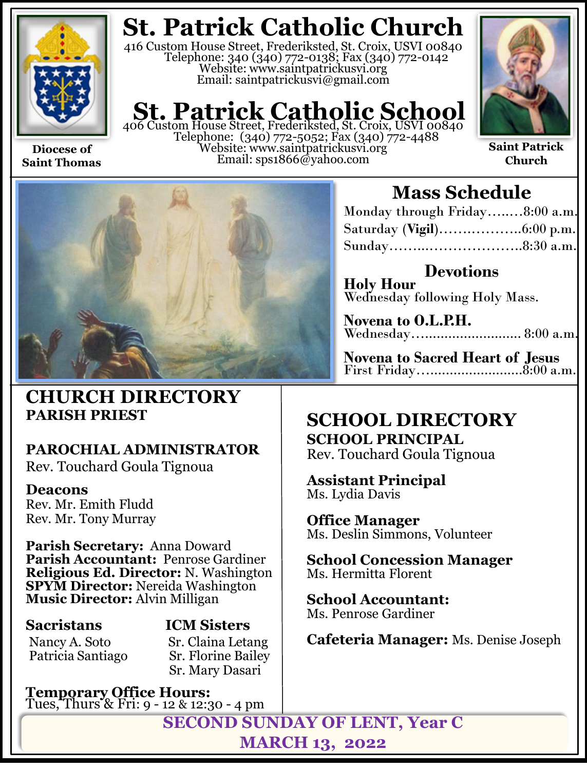

**Saint Thomas**

**St. Patrick Catholic Church**

416 Custom House Street, Frederiksted, St. Croix, USVI 00840 Telephone: 340 (340) 772-0138; Fax (340) 772-0142 Website: www.saintpatrickusvi.org Email: saintpatrickusvi@gmail.com

# **St. Patrick Catholic School**<br>406 Custom House Street, Frederiksted, St. Croix, USVI 00840

Telephone: (340) 772-5052; Fax (340) 772-4488 Website: www.saintpatrickusvi.org Email: sps1866@yahoo.com



**Saint Patrick Church**



## **CHURCH DIRECTORY PARISH PRIEST**

## **PAROCHIAL ADMINISTRATOR**

Rev. Touchard Goula Tignoua

### **Deacons**

Rev. Mr. Emith Fludd Rev. Mr. Tony Murray

**Parish Secretary:** Anna Doward **Parish Accountant:** Penrose Gardiner **Religious Ed. Director:** N. Washington **SPYM Director:** Nereida Washington **Music Director:** Alvin Milligan

Patricia Santiago

## **Sacristans ICM Sisters** Nancy A. Soto Sr. Claina Letang<br>Patricia Santiago Sr. Florine Bailey Sr. Mary Dasari

**Temporary Office Hours:**  Tues, Thurs & Fri: 9 - 12 & 12:30 - 4 pm

## **Mass Schedule**

| Monday through Friday8:00 a.m. |  |
|--------------------------------|--|
|                                |  |
| Sunday8:30 a.m.                |  |

**Devotions Holy Hour**  Wednesday following Holy Mass.

**Novena to O.L.P.H.** Wednesday…......................... 8:00 a.m.

**Novena to Sacred Heart of Jesus** First Friday…........................8:00 a.m.

## **SCHOOL DIRECTORY**

**SCHOOL PRINCIPAL** Rev. Touchard Goula Tignoua

**Assistant Principal** Ms. Lydia Davis

**Office Manager** Ms. Deslin Simmons, Volunteer

**School Concession Manager** Ms. Hermitta Florent

**School Accountant:**  Ms. Penrose Gardiner

**Cafeteria Manager:** Ms. Denise Joseph

**SECOND SUNDAY OF LENT, Year C MARCH 13, 2022**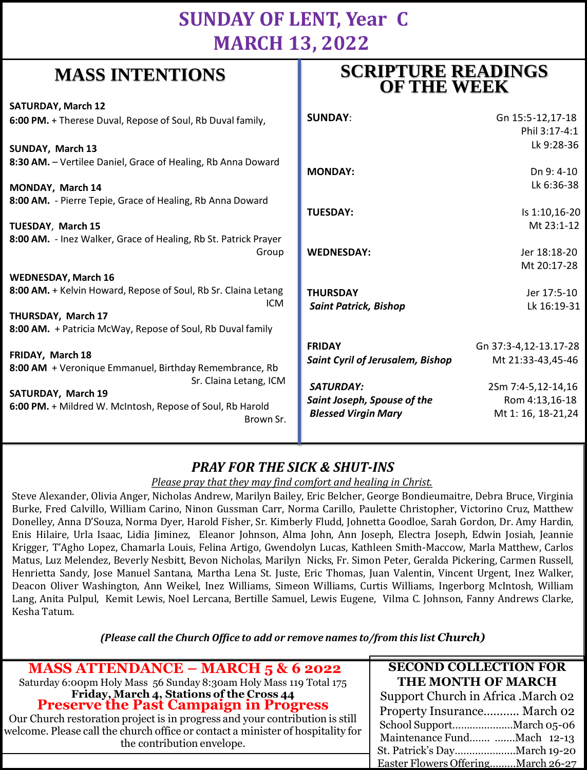## **SUNDAY OF LENT, Year C MARCH 13, 2022**

**SCRIPTURE READINGS** 

## **MASS INTENTIONS**

| when hitles to the                                                                                                                                                                                          | <b>OF THE WEEK</b>                                                                                                                        |                                                                                                           |
|-------------------------------------------------------------------------------------------------------------------------------------------------------------------------------------------------------------|-------------------------------------------------------------------------------------------------------------------------------------------|-----------------------------------------------------------------------------------------------------------|
| <b>SATURDAY, March 12</b><br>6:00 PM. + Therese Duval, Repose of Soul, Rb Duval family,                                                                                                                     | <b>SUNDAY:</b>                                                                                                                            | Gn 15:5-12,17-18<br>Phil 3:17-4:1                                                                         |
| SUNDAY, March 13<br>8:30 AM. - Vertilee Daniel, Grace of Healing, Rb Anna Doward                                                                                                                            | <b>MONDAY:</b>                                                                                                                            | Lk 9:28-36<br>Dn 9:4-10<br>Lk 6:36-38                                                                     |
| MONDAY, March 14<br>8:00 AM. - Pierre Tepie, Grace of Healing, Rb Anna Doward<br><b>TUESDAY, March 15</b>                                                                                                   | <b>TUESDAY:</b>                                                                                                                           | Is 1:10,16-20<br>Mt 23:1-12                                                                               |
| 8:00 AM. - Inez Walker, Grace of Healing, Rb St. Patrick Prayer<br>Group                                                                                                                                    | <b>WEDNESDAY:</b>                                                                                                                         | Jer 18:18-20<br>Mt 20:17-28                                                                               |
| <b>WEDNESDAY, March 16</b><br>8:00 AM. + Kelvin Howard, Repose of Soul, Rb Sr. Claina Letang<br><b>ICM</b><br>THURSDAY, March 17<br>8:00 AM. + Patricia McWay, Repose of Soul, Rb Duval family              | <b>THURSDAY</b><br><b>Saint Patrick, Bishop</b>                                                                                           | Jer 17:5-10<br>Lk 16:19-31                                                                                |
| FRIDAY, March 18<br>8:00 AM + Veronique Emmanuel, Birthday Remembrance, Rb<br>Sr. Claina Letang, ICM<br><b>SATURDAY, March 19</b><br>6:00 PM. + Mildred W. McIntosh, Repose of Soul, Rb Harold<br>Brown Sr. | <b>FRIDAY</b><br><b>Saint Cyril of Jerusalem, Bishop</b><br><b>SATURDAY:</b><br>Saint Joseph, Spouse of the<br><b>Blessed Virgin Mary</b> | Gn 37:3-4,12-13.17-28<br>Mt 21:33-43,45-46<br>2Sm 7:4-5,12-14,16<br>Rom 4:13,16-18<br>Mt 1: 16, 18-21, 24 |
|                                                                                                                                                                                                             |                                                                                                                                           |                                                                                                           |

### *PRAY FOR THE SICK & SHUT-INS*

*Please pray that they may find comfort and healing in Christ.*

Steve Alexander, Olivia Anger, Nicholas Andrew, Marilyn Bailey, Eric Belcher, George Bondieumaitre, Debra Bruce, Virginia Burke, Fred Calvillo, William Carino, Ninon Gussman Carr, Norma Carillo, Paulette Christopher, Victorino Cruz, Matthew Donelley, Anna D'Souza, Norma Dyer, Harold Fisher, Sr. Kimberly Fludd, Johnetta Goodloe, Sarah Gordon, Dr. Amy Hardin, Enis Hilaire, Urla Isaac, Lidia Jiminez, Eleanor Johnson, Alma John, Ann Joseph, Electra Joseph, Edwin Josiah, Jeannie Krigger, T'Agho Lopez, Chamarla Louis, Felina Artigo, Gwendolyn Lucas, Kathleen Smith-Maccow, Marla Matthew, Carlos Matus, Luz Melendez, Beverly Nesbitt, Bevon Nicholas, Marilyn Nicks, Fr. Simon Peter, Geralda Pickering, Carmen Russell, Henrietta Sandy, Jose Manuel Santana, Martha Lena St. Juste, Eric Thomas, Juan Valentin, Vincent Urgent, Inez Walker, Deacon Oliver Washington, Ann Weikel, Inez Williams, Simeon Williams, Curtis Williams, Ingerborg McIntosh, William Lang, Anita Pulpul, Kemit Lewis, Noel Lercana, Bertille Samuel, Lewis Eugene, Vilma C. Johnson, Fanny Andrews Clarke, Kesha Tatum.

*(Please call the Church Office to add or remove names to/from this list Church)*

| <b>MASS ATTENDANCE – MARCH 5 &amp; 6 2022</b>                                                                                                                                                                                                                                        | <b>SECOND COLLECTION FOR</b>        |
|--------------------------------------------------------------------------------------------------------------------------------------------------------------------------------------------------------------------------------------------------------------------------------------|-------------------------------------|
| Saturday 6:00pm Holy Mass 56 Sunday 8:30am Holy Mass 119 Total 175                                                                                                                                                                                                                   | THE MONTH OF MARCH                  |
| Friday, March 4, Stations of the Cross 44<br>Preserve the Past Campaign in Progress<br>Our Church restoration project is in progress and your contribution is still<br>welcome. Please call the church office or contact a minister of hospitality for<br>the contribution envelope. | Support Church in Africa . March 02 |
|                                                                                                                                                                                                                                                                                      | Property Insurance March 02         |
|                                                                                                                                                                                                                                                                                      |                                     |
|                                                                                                                                                                                                                                                                                      | Maintenance Fund Mach 12-13         |
|                                                                                                                                                                                                                                                                                      |                                     |
|                                                                                                                                                                                                                                                                                      | Easter Flowers OfferingMarch 26-27  |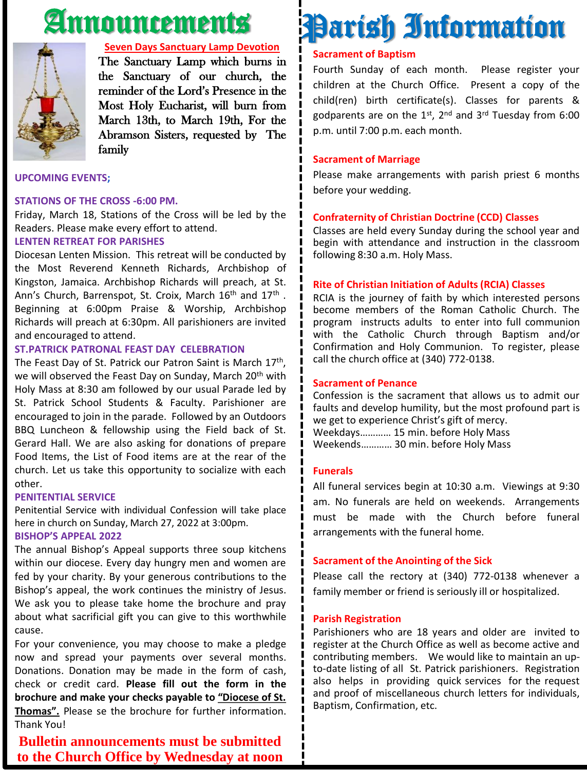## Announcements



#### **Seven Days Sanctuary Lamp Devotion**

The Sanctuary Lamp which burns in the Sanctuary of our church, the reminder of the Lord's Presence in the Most Holy Eucharist, will burn from March 13th, to March 19th, For the Abramson Sisters, requested by The family

#### **UPCOMING EVENTS;**

#### **STATIONS OF THE CROSS -6:00 PM.**

Friday, March 18, Stations of the Cross will be led by the Readers. Please make every effort to attend.

#### **LENTEN RETREAT FOR PARISHES**

Diocesan Lenten Mission. This retreat will be conducted by the Most Reverend Kenneth Richards, Archbishop of Kingston, Jamaica. Archbishop Richards will preach, at St. Ann's Church, Barrenspot, St. Croix, March 16<sup>th</sup> and 17<sup>th</sup>. Beginning at 6:00pm Praise & Worship, Archbishop Richards will preach at 6:30pm. All parishioners are invited and encouraged to attend.

#### **ST.PATRICK PATRONAL FEAST DAY CELEBRATION**

The Feast Day of St. Patrick our Patron Saint is March 17<sup>th</sup>, we will observed the Feast Day on Sunday, March 20<sup>th</sup> with Holy Mass at 8:30 am followed by our usual Parade led by St. Patrick School Students & Faculty. Parishioner are encouraged to join in the parade. Followed by an Outdoors BBQ Luncheon & fellowship using the Field back of St. Gerard Hall. We are also asking for donations of prepare Food Items, the List of Food items are at the rear of the church. Let us take this opportunity to socialize with each other.

#### **PENITENTIAL SERVICE**

Penitential Service with individual Confession will take place here in church on Sunday, March 27, 2022 at 3:00pm.

#### **BISHOP'S APPEAL 2022**

The annual Bishop's Appeal supports three soup kitchens within our diocese. Every day hungry men and women are fed by your charity. By your generous contributions to the Bishop's appeal, the work continues the ministry of Jesus. We ask you to please take home the brochure and pray about what sacrificial gift you can give to this worthwhile cause.

For your convenience, you may choose to make a pledge now and spread your payments over several months. Donations. Donation may be made in the form of cash, check or credit card. **Please fill out the form in the brochure and make your checks payable to "Diocese of St. Thomas".** Please se the brochure for further information. Thank You!

#### **Bulletin announcements must be submitted to the Church Office by Wednesday at noon**

## Parish Information

#### **Sacrament of Baptism**

Fourth Sunday of each month. Please register your children at the Church Office. Present a copy of the child(ren) birth certificate(s). Classes for parents & godparents are on the 1st, 2<sup>nd</sup> and 3<sup>rd</sup> Tuesday from 6:00 p.m. until 7:00 p.m. each month.

#### **Sacrament of Marriage**

Please make arrangements with parish priest 6 months before your wedding.

#### **Confraternity of Christian Doctrine (CCD) Classes**

Classes are held every Sunday during the school year and begin with attendance and instruction in the classroom following 8:30 a.m. Holy Mass.

#### **Rite of Christian Initiation of Adults (RCIA) Classes**

RCIA is the journey of faith by which interested persons become members of the Roman Catholic Church. The program instructs adults to enter into full communion with the Catholic Church through Baptism and/or Confirmation and Holy Communion. To register, please call the church office at (340) 772-0138.

#### **Sacrament of Penance**

Confession is the sacrament that allows us to admit our faults and develop humility, but the most profound part is we get to experience Christ's gift of mercy. Weekdays………… 15 min. before Holy Mass Weekends………… 30 min. before Holy Mass

#### **Funerals**

All funeral services begin at 10:30 a.m. Viewings at 9:30 am. No funerals are held on weekends. Arrangements must be made with the Church before funeral arrangements with the funeral home.

#### **Sacrament of the Anointing of the Sick**

Please call the rectory at (340) 772-0138 whenever a family member or friend is seriously ill or hospitalized.

#### **Parish Registration**

Parishioners who are 18 years and older are invited to register at the Church Office as well as become active and contributing members. We would like to maintain an upto-date listing of all St. Patrick parishioners. Registration also helps in providing quick services for the request and proof of miscellaneous church letters for individuals, Baptism, Confirmation, etc.